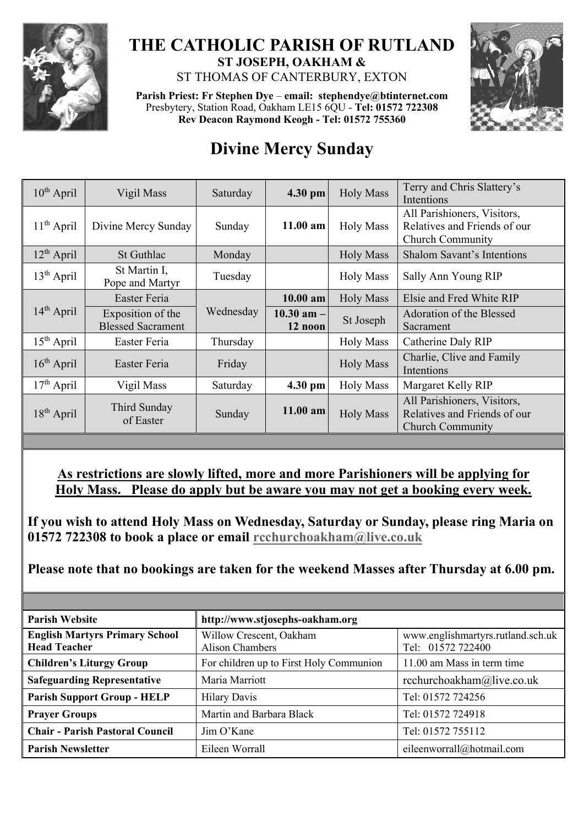

## **THE CATHOLIC PARISH OF RUTLAND ST JOSEPH, OAKHAM &**

ST THOMAS OF CANTERBURY, EXTON

**Parish Priest: Fr Stephen Dye** – **[email: stephendye@btinternet.com](mailto:email:%20%20stephendye@btinternet.com)** Presbytery, Station Road, Oakham LE15 6QU - **Tel: 01572 722308 Rev Deacon Raymond Keogh - Tel: 01572 755360**



## **Divine Mercy Sunday**

| $10^{th}$ April | Vigil Mass                                    | Saturday  | 4.30 pm                   | <b>Holy Mass</b> | Terry and Chris Slattery's<br>Intentions                                               |
|-----------------|-----------------------------------------------|-----------|---------------------------|------------------|----------------------------------------------------------------------------------------|
| $11th$ April    | Divine Mercy Sunday                           | Sunday    | $11.00$ am                | <b>Holy Mass</b> | All Parishioners, Visitors,<br>Relatives and Friends of our<br><b>Church Community</b> |
| $12^{th}$ April | St Guthlac                                    | Monday    |                           | <b>Holy Mass</b> | <b>Shalom Savant's Intentions</b>                                                      |
| $13th$ April    | St Martin I,<br>Pope and Martyr               | Tuesday   |                           | <b>Holy Mass</b> | Sally Ann Young RIP                                                                    |
| $14th$ April    | Easter Feria                                  | Wednesday | 10.00 am                  | <b>Holy Mass</b> | Elsie and Fred White RIP                                                               |
|                 | Exposition of the<br><b>Blessed Sacrament</b> |           | $10.30$ am $-$<br>12 noon | St Joseph        | Adoration of the Blessed<br>Sacrament                                                  |
| $15th$ April    | Easter Feria                                  | Thursday  |                           | <b>Holy Mass</b> | Catherine Daly RIP                                                                     |
| $16th$ April    | Easter Feria                                  | Friday    |                           | <b>Holy Mass</b> | Charlie, Clive and Family<br>Intentions                                                |
| $17th$ April    | Vigil Mass                                    | Saturday  | 4.30 pm                   | <b>Holy Mass</b> | Margaret Kelly RIP                                                                     |
| $18th$ April    | Third Sunday<br>of Easter                     | Sunday    | 11.00 am                  | <b>Holy Mass</b> | All Parishioners, Visitors,<br>Relatives and Friends of our<br><b>Church Community</b> |

## **As restrictions are slowly lifted, more and more Parishioners will be applying for Holy Mass. Please do apply but be aware you may not get a booking every week.**

**If you wish to attend Holy Mass on Wednesday, Saturday or Sunday, please ring Maria on 01572 722308 to book a place or email [rcchurchoakham@live.co.uk](mailto:rcchurchoakham@live.co.uk)**

**Please note that no bookings are taken for the weekend Masses after Thursday at 6.00 pm.**

| <b>Parish Website</b>                                        | http://www.stjosephs-oakham.org            |                                                        |  |  |
|--------------------------------------------------------------|--------------------------------------------|--------------------------------------------------------|--|--|
| <b>English Martyrs Primary School</b><br><b>Head Teacher</b> | Willow Crescent, Oakham<br>Alison Chambers | www.englishmartyrs.rutland.sch.uk<br>Tel: 01572 722400 |  |  |
| <b>Children's Liturgy Group</b>                              | For children up to First Holy Communion    | 11.00 am Mass in term time                             |  |  |
| <b>Safeguarding Representative</b>                           | Maria Marriott                             | rcchurchoakham@live.co.uk                              |  |  |
| <b>Parish Support Group - HELP</b>                           | <b>Hilary Davis</b>                        | Tel: 01572 724256                                      |  |  |
| <b>Prayer Groups</b>                                         | Martin and Barbara Black                   | Tel: 01572 724918                                      |  |  |
| <b>Chair - Parish Pastoral Council</b>                       | Jim O'Kane                                 | Tel: 01572 755112                                      |  |  |
| <b>Parish Newsletter</b>                                     | Eileen Worrall                             | eileenworrall@hotmail.com                              |  |  |